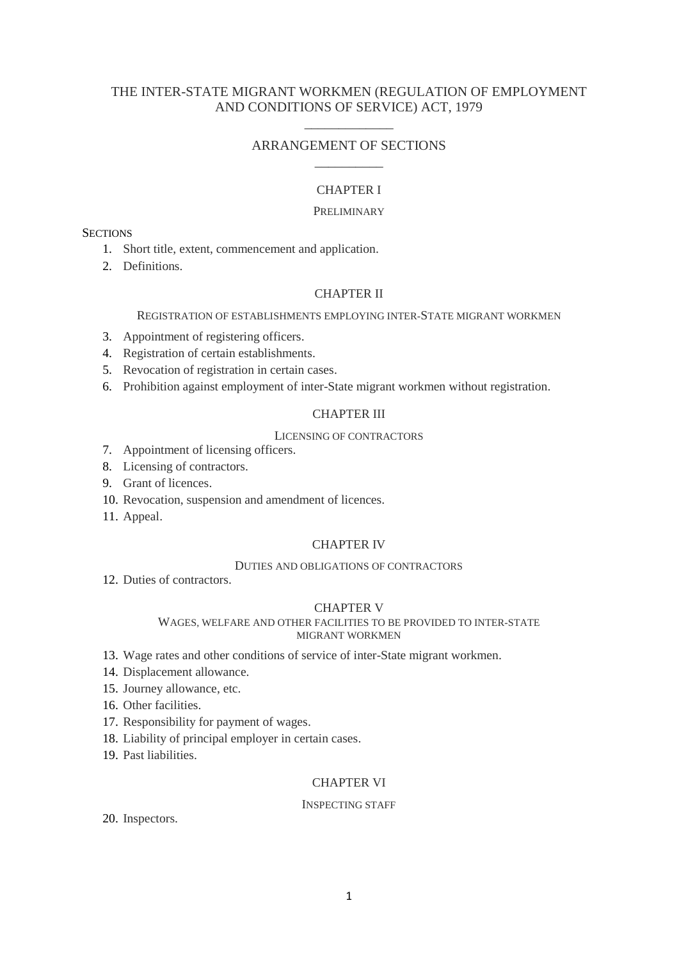# THE INTER-STATE MIGRANT WORKMEN (REGULATION OF EMPLOYMENT AND CONDITIONS OF SERVICE) ACT, 1979

# ARRANGEMENT OF SECTIONS \_\_\_\_\_\_\_\_\_\_

\_\_\_\_\_\_\_\_\_\_\_\_\_

# CHAPTER I

## **PRELIMINARY**

# **SECTIONS**

- 1. Short title, extent, commencement and application.
- 2. Definitions.

# CHAPTER II

## REGISTRATION OF ESTABLISHMENTS EMPLOYING INTER-STATE MIGRANT WORKMEN

- 3. Appointment of registering officers.
- 4. Registration of certain establishments.
- 5. Revocation of registration in certain cases.
- 6. Prohibition against employment of inter-State migrant workmen without registration.

# CHAPTER III

## LICENSING OF CONTRACTORS

- 7. Appointment of licensing officers.
- 8. Licensing of contractors.
- 9. Grant of licences.
- 10. Revocation, suspension and amendment of licences.
- 11. Appeal.

## CHAPTER IV

### DUTIES AND OBLIGATIONS OF CONTRACTORS

12. Duties of contractors.

# CHAPTER V

### WAGES, WELFARE AND OTHER FACILITIES TO BE PROVIDED TO INTER-STATE MIGRANT WORKMEN

- 13. Wage rates and other conditions of service of inter-State migrant workmen.
- 14. Displacement allowance.
- 15. Journey allowance, etc.
- 16. Other facilities.
- 17. Responsibility for payment of wages.
- 18. Liability of principal employer in certain cases.
- 19. Past liabilities.

# CHAPTER VI

## INSPECTING STAFF

20. Inspectors.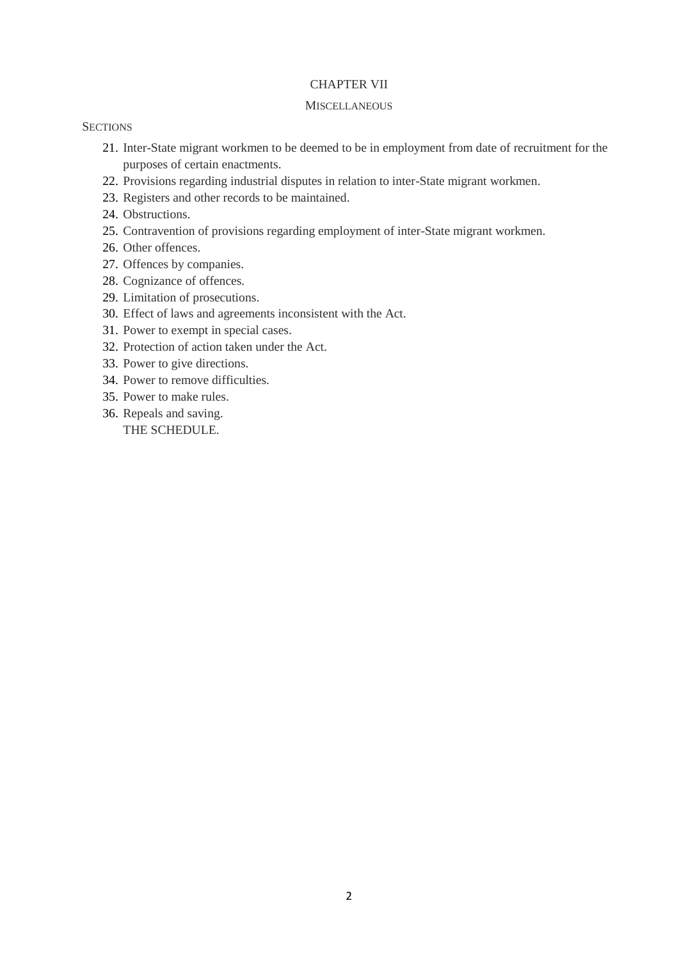# CHAPTER VII

### **MISCELLANEOUS**

## **SECTIONS**

- 21. Inter-State migrant workmen to be deemed to be in employment from date of recruitment for the purposes of certain enactments.
- 22. Provisions regarding industrial disputes in relation to inter-State migrant workmen.
- 23. Registers and other records to be maintained.
- 24. Obstructions.
- 25. Contravention of provisions regarding employment of inter-State migrant workmen.
- 26. Other offences.
- 27. Offences by companies.
- 28. Cognizance of offences.
- 29. Limitation of prosecutions.
- 30. Effect of laws and agreements inconsistent with the Act.
- 31. Power to exempt in special cases.
- 32. Protection of action taken under the Act.
- 33. Power to give directions.
- 34. Power to remove difficulties.
- 35. Power to make rules.
- 36. Repeals and saving. THE SCHEDULE.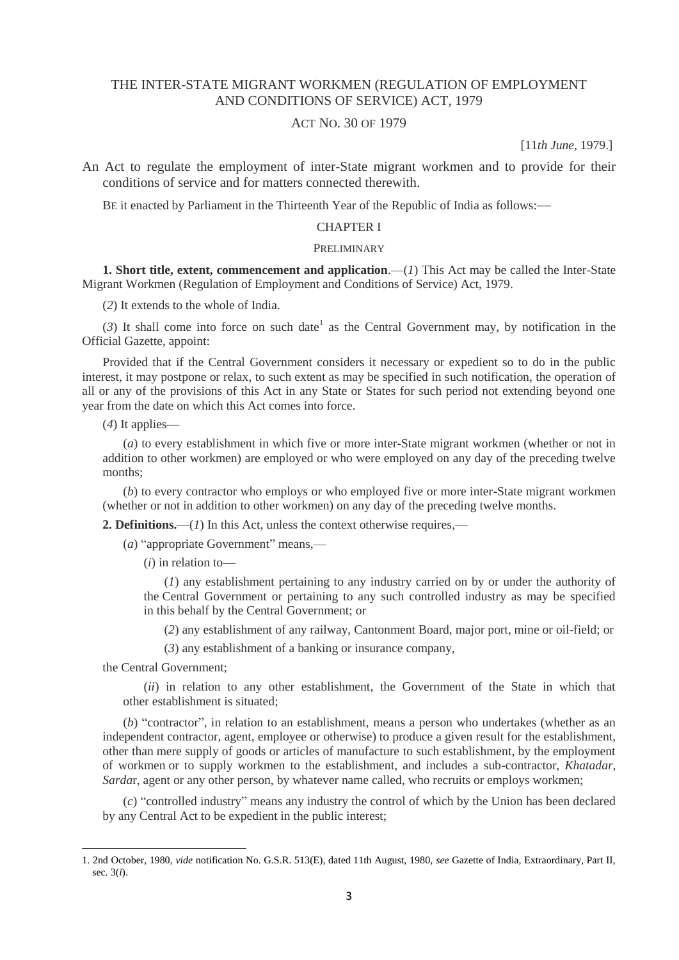# THE INTER-STATE MIGRANT WORKMEN (REGULATION OF EMPLOYMENT AND CONDITIONS OF SERVICE) ACT, 1979

# ACT NO. 30 OF 1979

[11*th June*, 1979.]

An Act to regulate the employment of inter-State migrant workmen and to provide for their conditions of service and for matters connected therewith.

BE it enacted by Parliament in the Thirteenth Year of the Republic of India as follows:—

## CHAPTER I

### PRELIMINARY

**1. Short title, extent, commencement and application.—(1) This Act may be called the Inter-State** Migrant Workmen (Regulation of Employment and Conditions of Service) Act, 1979.

(*2*) It extends to the whole of India.

 $(3)$  It shall come into force on such date<sup>1</sup> as the Central Government may, by notification in the Official Gazette, appoint:

Provided that if the Central Government considers it necessary or expedient so to do in the public interest, it may postpone or relax, to such extent as may be specified in such notification, the operation of all or any of the provisions of this Act in any State or States for such period not extending beyond one year from the date on which this Act comes into force.

(*4*) It applies—

(*a*) to every establishment in which five or more inter-State migrant workmen (whether or not in addition to other workmen) are employed or who were employed on any day of the preceding twelve months;

(*b*) to every contractor who employs or who employed five or more inter-State migrant workmen (whether or not in addition to other workmen) on any day of the preceding twelve months.

**2. Definitions.**—(*1*) In this Act, unless the context otherwise requires,—

(*a*) "appropriate Government" means,—

(*i*) in relation to—

(*1*) any establishment pertaining to any industry carried on by or under the authority of the Central Government or pertaining to any such controlled industry as may be specified in this behalf by the Central Government; or

(*2*) any establishment of any railway, Cantonment Board, major port, mine or oil-field; or

(*3*) any establishment of a banking or insurance company,

the Central Government;

1

(*ii*) in relation to any other establishment, the Government of the State in which that other establishment is situated;

(*b*) "contractor", in relation to an establishment, means a person who undertakes (whether as an independent contractor, agent, employee or otherwise) to produce a given result for the establishment, other than mere supply of goods or articles of manufacture to such establishment, by the employment of workmen or to supply workmen to the establishment, and includes a sub-contractor, *Khatadar*, *Sarda*r, agent or any other person, by whatever name called, who recruits or employs workmen;

(*c*) "controlled industry" means any industry the control of which by the Union has been declared by any Central Act to be expedient in the public interest;

<sup>1. 2</sup>nd October, 1980, *vide* notification No. G.S.R. 513(E), dated 11th August, 1980, *see* Gazette of India, Extraordinary, Part II, sec. 3(*i*).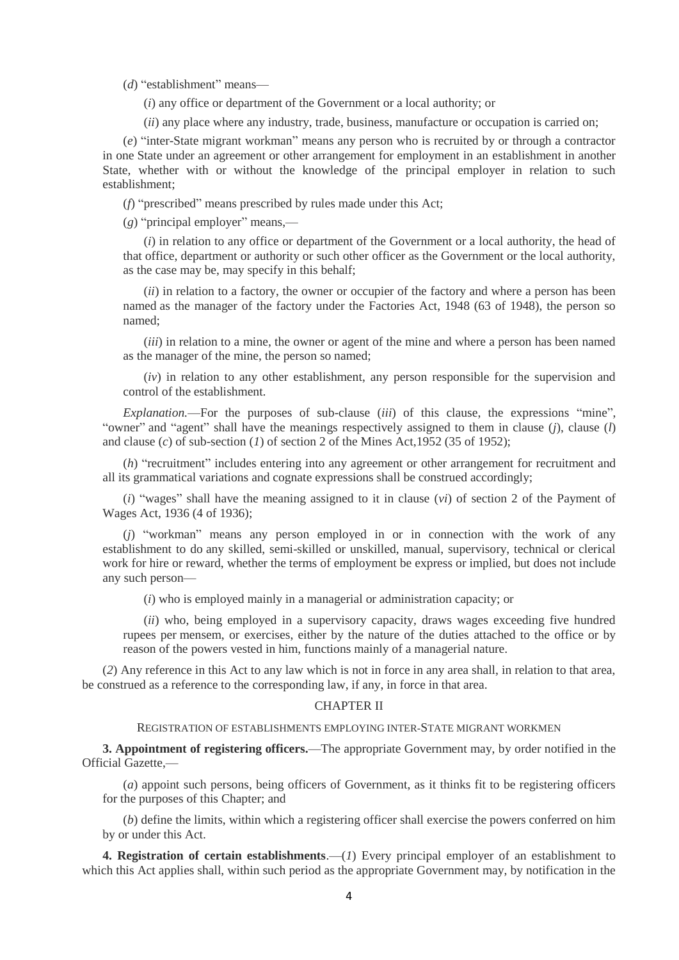(*d*) "establishment" means—

(*i*) any office or department of the Government or a local authority; or

(*ii*) any place where any industry, trade, business, manufacture or occupation is carried on;

(*e*) "inter-State migrant workman" means any person who is recruited by or through a contractor in one State under an agreement or other arrangement for employment in an establishment in another State, whether with or without the knowledge of the principal employer in relation to such establishment;

(*f*) "prescribed" means prescribed by rules made under this Act;

(*g*) "principal employer" means,—

(*i*) in relation to any office or department of the Government or a local authority, the head of that office, department or authority or such other officer as the Government or the local authority, as the case may be, may specify in this behalf;

(*ii*) in relation to a factory, the owner or occupier of the factory and where a person has been named as the manager of the factory under the Factories Act, 1948 (63 of 1948), the person so named;

(*iii*) in relation to a mine, the owner or agent of the mine and where a person has been named as the manager of the mine, the person so named;

(*iv*) in relation to any other establishment, any person responsible for the supervision and control of the establishment.

*Explanation.*—For the purposes of sub-clause (*iii*) of this clause, the expressions "mine", "owner" and "agent" shall have the meanings respectively assigned to them in clause (*j*), clause (*l*) and clause (*c*) of sub-section (*1*) of section 2 of the Mines Act,1952 (35 of 1952);

(*h*) "recruitment" includes entering into any agreement or other arrangement for recruitment and all its grammatical variations and cognate expressions shall be construed accordingly;

(*i*) "wages" shall have the meaning assigned to it in clause (*vi*) of section 2 of the Payment of Wages Act, 1936 (4 of 1936);

(*j*) "workman" means any person employed in or in connection with the work of any establishment to do any skilled, semi-skilled or unskilled, manual, supervisory, technical or clerical work for hire or reward, whether the terms of employment be express or implied, but does not include any such person—

(*i*) who is employed mainly in a managerial or administration capacity; or

(*ii*) who, being employed in a supervisory capacity, draws wages exceeding five hundred rupees per mensem, or exercises, either by the nature of the duties attached to the office or by reason of the powers vested in him, functions mainly of a managerial nature.

(*2*) Any reference in this Act to any law which is not in force in any area shall, in relation to that area, be construed as a reference to the corresponding law, if any, in force in that area.

### CHAPTER II

REGISTRATION OF ESTABLISHMENTS EMPLOYING INTER-STATE MIGRANT WORKMEN

**3. Appointment of registering officers.**—The appropriate Government may, by order notified in the Official Gazette,—

(*a*) appoint such persons, being officers of Government, as it thinks fit to be registering officers for the purposes of this Chapter; and

(*b*) define the limits, within which a registering officer shall exercise the powers conferred on him by or under this Act.

**4. Registration of certain establishments**.—(*1*) Every principal employer of an establishment to which this Act applies shall, within such period as the appropriate Government may, by notification in the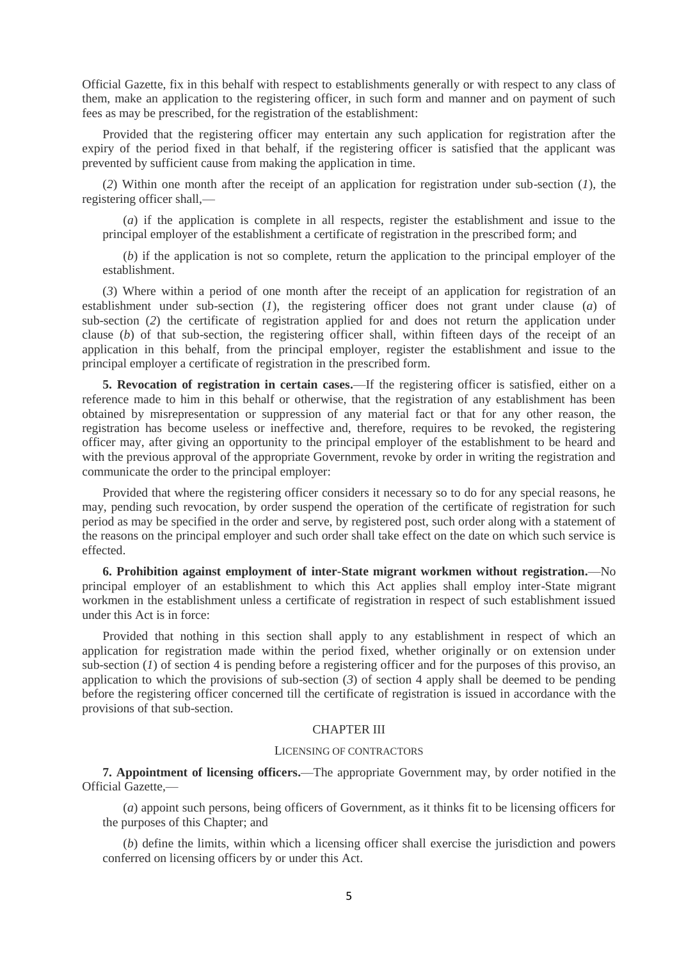Official Gazette, fix in this behalf with respect to establishments generally or with respect to any class of them, make an application to the registering officer, in such form and manner and on payment of such fees as may be prescribed, for the registration of the establishment:

Provided that the registering officer may entertain any such application for registration after the expiry of the period fixed in that behalf, if the registering officer is satisfied that the applicant was prevented by sufficient cause from making the application in time.

(*2*) Within one month after the receipt of an application for registration under sub-section (*1*), the registering officer shall,—

(*a*) if the application is complete in all respects, register the establishment and issue to the principal employer of the establishment a certificate of registration in the prescribed form; and

(*b*) if the application is not so complete, return the application to the principal employer of the establishment.

(*3*) Where within a period of one month after the receipt of an application for registration of an establishment under sub-section (*1*), the registering officer does not grant under clause (*a*) of sub-section (*2*) the certificate of registration applied for and does not return the application under clause (*b*) of that sub-section, the registering officer shall, within fifteen days of the receipt of an application in this behalf, from the principal employer, register the establishment and issue to the principal employer a certificate of registration in the prescribed form.

**5. Revocation of registration in certain cases.**—If the registering officer is satisfied, either on a reference made to him in this behalf or otherwise, that the registration of any establishment has been obtained by misrepresentation or suppression of any material fact or that for any other reason, the registration has become useless or ineffective and, therefore, requires to be revoked, the registering officer may, after giving an opportunity to the principal employer of the establishment to be heard and with the previous approval of the appropriate Government, revoke by order in writing the registration and communicate the order to the principal employer:

Provided that where the registering officer considers it necessary so to do for any special reasons, he may, pending such revocation, by order suspend the operation of the certificate of registration for such period as may be specified in the order and serve, by registered post, such order along with a statement of the reasons on the principal employer and such order shall take effect on the date on which such service is effected.

**6. Prohibition against employment of inter-State migrant workmen without registration.**—No principal employer of an establishment to which this Act applies shall employ inter-State migrant workmen in the establishment unless a certificate of registration in respect of such establishment issued under this Act is in force:

Provided that nothing in this section shall apply to any establishment in respect of which an application for registration made within the period fixed, whether originally or on extension under sub-section (*1*) of section 4 is pending before a registering officer and for the purposes of this proviso, an application to which the provisions of sub-section (*3*) of section 4 apply shall be deemed to be pending before the registering officer concerned till the certificate of registration is issued in accordance with the provisions of that sub-section.

### CHAPTER III

#### LICENSING OF CONTRACTORS

**7. Appointment of licensing officers.**—The appropriate Government may, by order notified in the Official Gazette,—

(*a*) appoint such persons, being officers of Government, as it thinks fit to be licensing officers for the purposes of this Chapter; and

(*b*) define the limits, within which a licensing officer shall exercise the jurisdiction and powers conferred on licensing officers by or under this Act.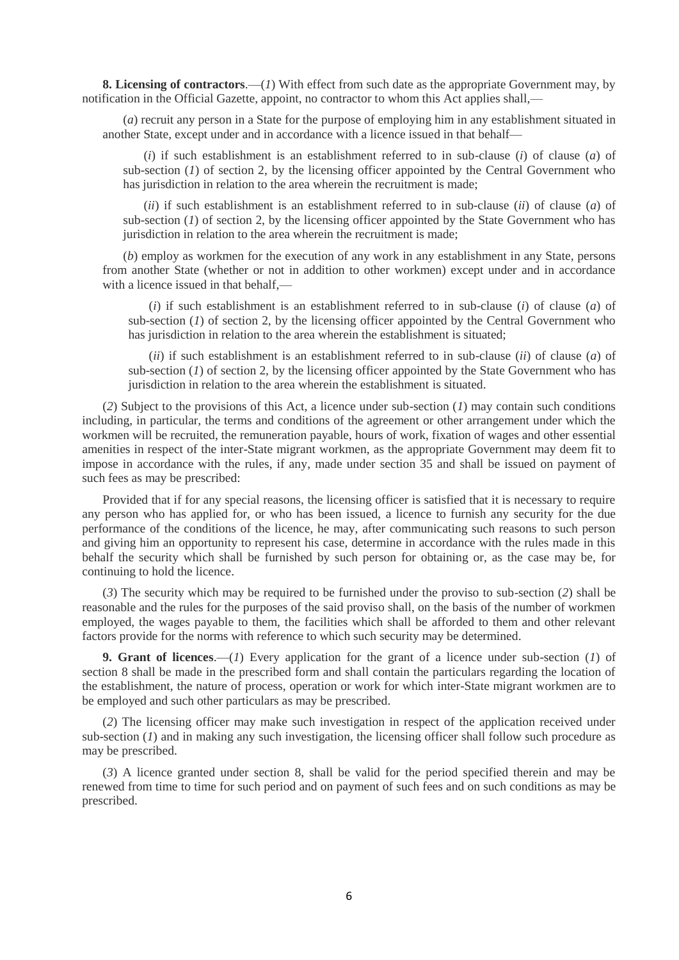**8. Licensing of contractors**.—(*1*) With effect from such date as the appropriate Government may, by notification in the Official Gazette, appoint, no contractor to whom this Act applies shall,—

(*a*) recruit any person in a State for the purpose of employing him in any establishment situated in another State, except under and in accordance with a licence issued in that behalf—

(*i*) if such establishment is an establishment referred to in sub-clause (*i*) of clause (*a*) of sub-section (*1*) of section 2, by the licensing officer appointed by the Central Government who has jurisdiction in relation to the area wherein the recruitment is made;

(*ii*) if such establishment is an establishment referred to in sub-clause (*ii*) of clause (*a*) of sub-section  $(1)$  of section 2, by the licensing officer appointed by the State Government who has jurisdiction in relation to the area wherein the recruitment is made;

(*b*) employ as workmen for the execution of any work in any establishment in any State, persons from another State (whether or not in addition to other workmen) except under and in accordance with a licence issued in that behalf.—

(*i*) if such establishment is an establishment referred to in sub-clause (*i*) of clause (*a*) of sub-section (*1*) of section 2, by the licensing officer appointed by the Central Government who has jurisdiction in relation to the area wherein the establishment is situated;

(*ii*) if such establishment is an establishment referred to in sub-clause (*ii*) of clause (*a*) of sub-section (*1*) of section 2, by the licensing officer appointed by the State Government who has jurisdiction in relation to the area wherein the establishment is situated.

(*2*) Subject to the provisions of this Act, a licence under sub-section (*1*) may contain such conditions including, in particular, the terms and conditions of the agreement or other arrangement under which the workmen will be recruited, the remuneration payable, hours of work, fixation of wages and other essential amenities in respect of the inter-State migrant workmen, as the appropriate Government may deem fit to impose in accordance with the rules, if any, made under section 35 and shall be issued on payment of such fees as may be prescribed:

Provided that if for any special reasons, the licensing officer is satisfied that it is necessary to require any person who has applied for, or who has been issued, a licence to furnish any security for the due performance of the conditions of the licence, he may, after communicating such reasons to such person and giving him an opportunity to represent his case, determine in accordance with the rules made in this behalf the security which shall be furnished by such person for obtaining or, as the case may be, for continuing to hold the licence.

(*3*) The security which may be required to be furnished under the proviso to sub-section (*2*) shall be reasonable and the rules for the purposes of the said proviso shall, on the basis of the number of workmen employed, the wages payable to them, the facilities which shall be afforded to them and other relevant factors provide for the norms with reference to which such security may be determined.

**9. Grant of licences**.—(*1*) Every application for the grant of a licence under sub-section (*1*) of section 8 shall be made in the prescribed form and shall contain the particulars regarding the location of the establishment, the nature of process, operation or work for which inter-State migrant workmen are to be employed and such other particulars as may be prescribed.

(*2*) The licensing officer may make such investigation in respect of the application received under sub-section (*1*) and in making any such investigation, the licensing officer shall follow such procedure as may be prescribed.

(*3*) A licence granted under section 8, shall be valid for the period specified therein and may be renewed from time to time for such period and on payment of such fees and on such conditions as may be prescribed.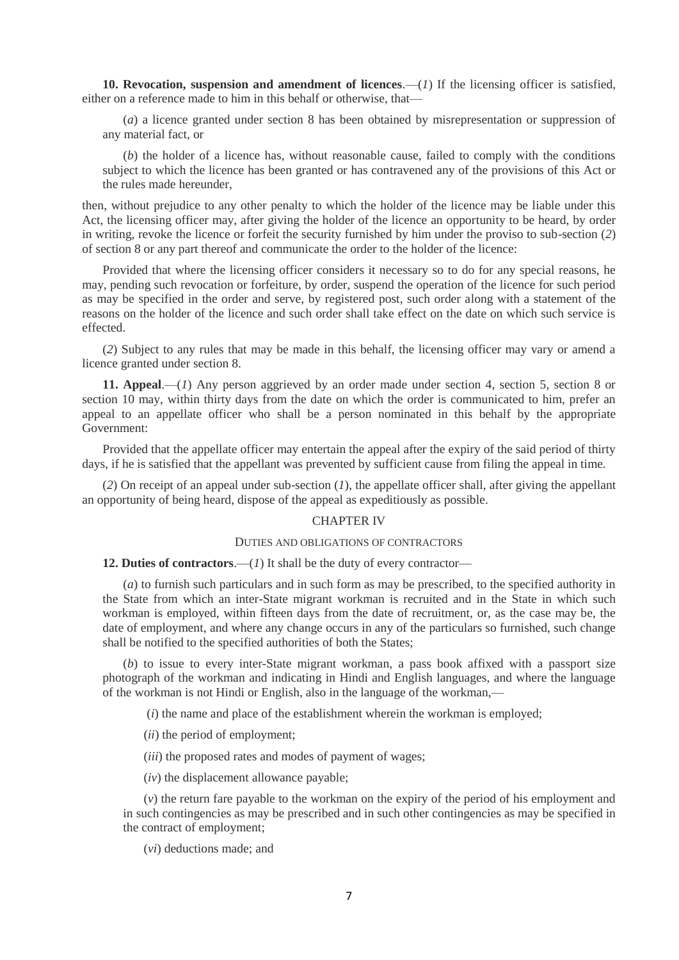**10. Revocation, suspension and amendment of licences**.—(*1*) If the licensing officer is satisfied, either on a reference made to him in this behalf or otherwise, that—

(*a*) a licence granted under section 8 has been obtained by misrepresentation or suppression of any material fact, or

(*b*) the holder of a licence has, without reasonable cause, failed to comply with the conditions subject to which the licence has been granted or has contravened any of the provisions of this Act or the rules made hereunder,

then, without prejudice to any other penalty to which the holder of the licence may be liable under this Act, the licensing officer may, after giving the holder of the licence an opportunity to be heard, by order in writing, revoke the licence or forfeit the security furnished by him under the proviso to sub-section (*2*) of section 8 or any part thereof and communicate the order to the holder of the licence:

Provided that where the licensing officer considers it necessary so to do for any special reasons, he may, pending such revocation or forfeiture, by order, suspend the operation of the licence for such period as may be specified in the order and serve, by registered post, such order along with a statement of the reasons on the holder of the licence and such order shall take effect on the date on which such service is effected.

(*2*) Subject to any rules that may be made in this behalf, the licensing officer may vary or amend a licence granted under section 8.

**11. Appeal**.—(*1*) Any person aggrieved by an order made under section 4, section 5, section 8 or section 10 may, within thirty days from the date on which the order is communicated to him, prefer an appeal to an appellate officer who shall be a person nominated in this behalf by the appropriate Government:

Provided that the appellate officer may entertain the appeal after the expiry of the said period of thirty days, if he is satisfied that the appellant was prevented by sufficient cause from filing the appeal in time.

(*2*) On receipt of an appeal under sub-section (*1*), the appellate officer shall, after giving the appellant an opportunity of being heard, dispose of the appeal as expeditiously as possible.

### CHAPTER IV

### DUTIES AND OBLIGATIONS OF CONTRACTORS

**12. Duties of contractors**.—(*1*) It shall be the duty of every contractor—

(*a*) to furnish such particulars and in such form as may be prescribed, to the specified authority in the State from which an inter-State migrant workman is recruited and in the State in which such workman is employed, within fifteen days from the date of recruitment, or, as the case may be, the date of employment, and where any change occurs in any of the particulars so furnished, such change shall be notified to the specified authorities of both the States;

(*b*) to issue to every inter-State migrant workman, a pass book affixed with a passport size photograph of the workman and indicating in Hindi and English languages, and where the language of the workman is not Hindi or English, also in the language of the workman,—

(*i*) the name and place of the establishment wherein the workman is employed;

(*ii*) the period of employment;

(*iii*) the proposed rates and modes of payment of wages;

(*iv*) the displacement allowance payable;

(*v*) the return fare payable to the workman on the expiry of the period of his employment and in such contingencies as may be prescribed and in such other contingencies as may be specified in the contract of employment;

(*vi*) deductions made; and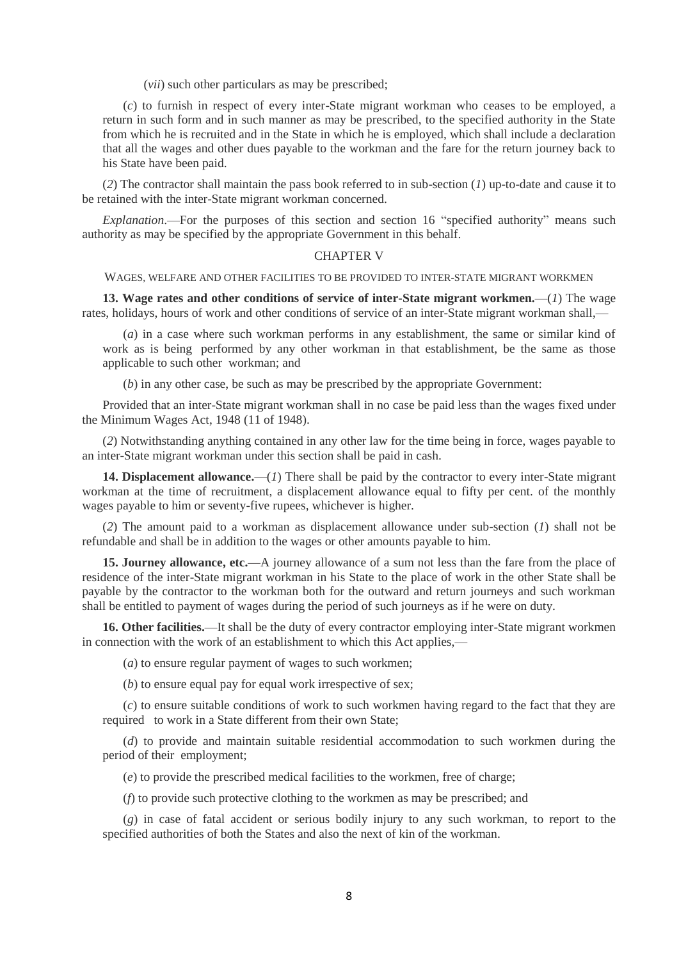(*vii*) such other particulars as may be prescribed;

(*c*) to furnish in respect of every inter-State migrant workman who ceases to be employed, a return in such form and in such manner as may be prescribed, to the specified authority in the State from which he is recruited and in the State in which he is employed, which shall include a declaration that all the wages and other dues payable to the workman and the fare for the return journey back to his State have been paid.

(*2*) The contractor shall maintain the pass book referred to in sub-section (*1*) up-to-date and cause it to be retained with the inter-State migrant workman concerned.

*Explanation*.—For the purposes of this section and section 16 "specified authority" means such authority as may be specified by the appropriate Government in this behalf.

### CHAPTER V

WAGES, WELFARE AND OTHER FACILITIES TO BE PROVIDED TO INTER-STATE MIGRANT WORKMEN

**13. Wage rates and other conditions of service of inter-State migrant workmen.**—(*1*) The wage rates, holidays, hours of work and other conditions of service of an inter-State migrant workman shall,—

(*a*) in a case where such workman performs in any establishment, the same or similar kind of work as is being performed by any other workman in that establishment, be the same as those applicable to such other workman; and

(*b*) in any other case, be such as may be prescribed by the appropriate Government:

Provided that an inter-State migrant workman shall in no case be paid less than the wages fixed under the Minimum Wages Act, 1948 (11 of 1948).

(*2*) Notwithstanding anything contained in any other law for the time being in force, wages payable to an inter-State migrant workman under this section shall be paid in cash.

**14. Displacement allowance.**—(*1*) There shall be paid by the contractor to every inter-State migrant workman at the time of recruitment, a displacement allowance equal to fifty per cent. of the monthly wages payable to him or seventy-five rupees, whichever is higher.

(*2*) The amount paid to a workman as displacement allowance under sub-section (*1*) shall not be refundable and shall be in addition to the wages or other amounts payable to him.

**15. Journey allowance, etc.**—A journey allowance of a sum not less than the fare from the place of residence of the inter-State migrant workman in his State to the place of work in the other State shall be payable by the contractor to the workman both for the outward and return journeys and such workman shall be entitled to payment of wages during the period of such journeys as if he were on duty.

**16. Other facilities.**—It shall be the duty of every contractor employing inter-State migrant workmen in connection with the work of an establishment to which this Act applies,—

(*a*) to ensure regular payment of wages to such workmen;

(*b*) to ensure equal pay for equal work irrespective of sex;

(*c*) to ensure suitable conditions of work to such workmen having regard to the fact that they are required to work in a State different from their own State;

(*d*) to provide and maintain suitable residential accommodation to such workmen during the period of their employment;

(*e*) to provide the prescribed medical facilities to the workmen, free of charge;

(*f*) to provide such protective clothing to the workmen as may be prescribed; and

(*g*) in case of fatal accident or serious bodily injury to any such workman, to report to the specified authorities of both the States and also the next of kin of the workman.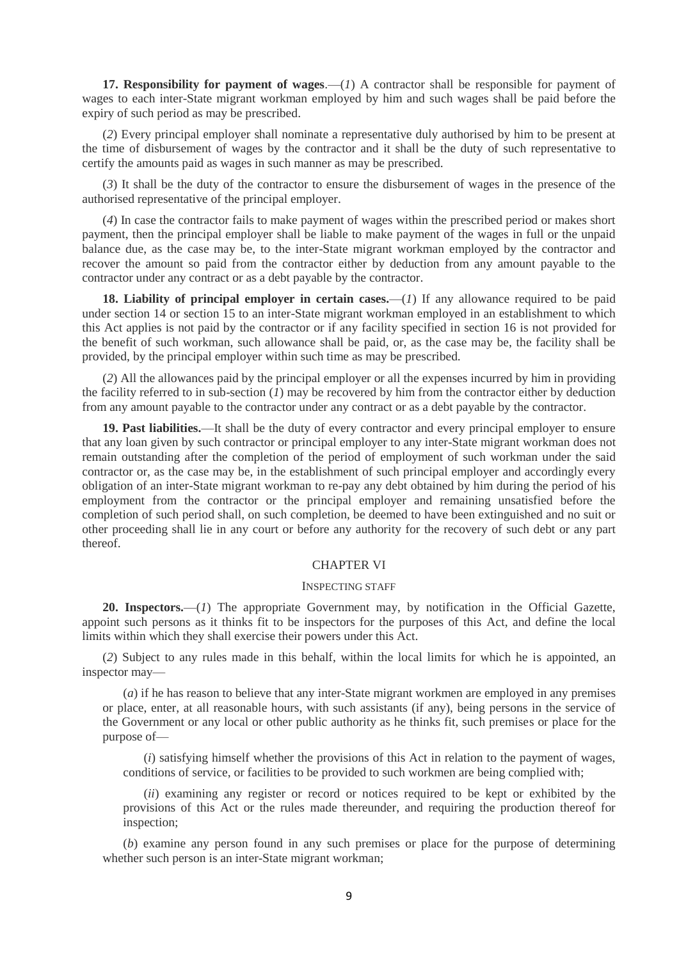**17. Responsibility for payment of wages.**—(*1*) A contractor shall be responsible for payment of wages to each inter-State migrant workman employed by him and such wages shall be paid before the expiry of such period as may be prescribed.

(*2*) Every principal employer shall nominate a representative duly authorised by him to be present at the time of disbursement of wages by the contractor and it shall be the duty of such representative to certify the amounts paid as wages in such manner as may be prescribed.

(*3*) It shall be the duty of the contractor to ensure the disbursement of wages in the presence of the authorised representative of the principal employer.

(*4*) In case the contractor fails to make payment of wages within the prescribed period or makes short payment, then the principal employer shall be liable to make payment of the wages in full or the unpaid balance due, as the case may be, to the inter-State migrant workman employed by the contractor and recover the amount so paid from the contractor either by deduction from any amount payable to the contractor under any contract or as a debt payable by the contractor.

18. Liability of principal employer in certain cases.—(*1*) If any allowance required to be paid under section 14 or section 15 to an inter-State migrant workman employed in an establishment to which this Act applies is not paid by the contractor or if any facility specified in section 16 is not provided for the benefit of such workman, such allowance shall be paid, or, as the case may be, the facility shall be provided, by the principal employer within such time as may be prescribed.

(*2*) All the allowances paid by the principal employer or all the expenses incurred by him in providing the facility referred to in sub-section (*1*) may be recovered by him from the contractor either by deduction from any amount payable to the contractor under any contract or as a debt payable by the contractor.

**19. Past liabilities.**—It shall be the duty of every contractor and every principal employer to ensure that any loan given by such contractor or principal employer to any inter-State migrant workman does not remain outstanding after the completion of the period of employment of such workman under the said contractor or, as the case may be, in the establishment of such principal employer and accordingly every obligation of an inter-State migrant workman to re-pay any debt obtained by him during the period of his employment from the contractor or the principal employer and remaining unsatisfied before the completion of such period shall, on such completion, be deemed to have been extinguished and no suit or other proceeding shall lie in any court or before any authority for the recovery of such debt or any part thereof.

## CHAPTER VI

#### INSPECTING STAFF

**20. Inspectors.**—(*1*) The appropriate Government may, by notification in the Official Gazette, appoint such persons as it thinks fit to be inspectors for the purposes of this Act, and define the local limits within which they shall exercise their powers under this Act.

(*2*) Subject to any rules made in this behalf, within the local limits for which he is appointed, an inspector may—

(*a*) if he has reason to believe that any inter-State migrant workmen are employed in any premises or place, enter, at all reasonable hours, with such assistants (if any), being persons in the service of the Government or any local or other public authority as he thinks fit, such premises or place for the purpose of—

(*i*) satisfying himself whether the provisions of this Act in relation to the payment of wages, conditions of service, or facilities to be provided to such workmen are being complied with;

(*ii*) examining any register or record or notices required to be kept or exhibited by the provisions of this Act or the rules made thereunder, and requiring the production thereof for inspection;

(*b*) examine any person found in any such premises or place for the purpose of determining whether such person is an inter-State migrant workman;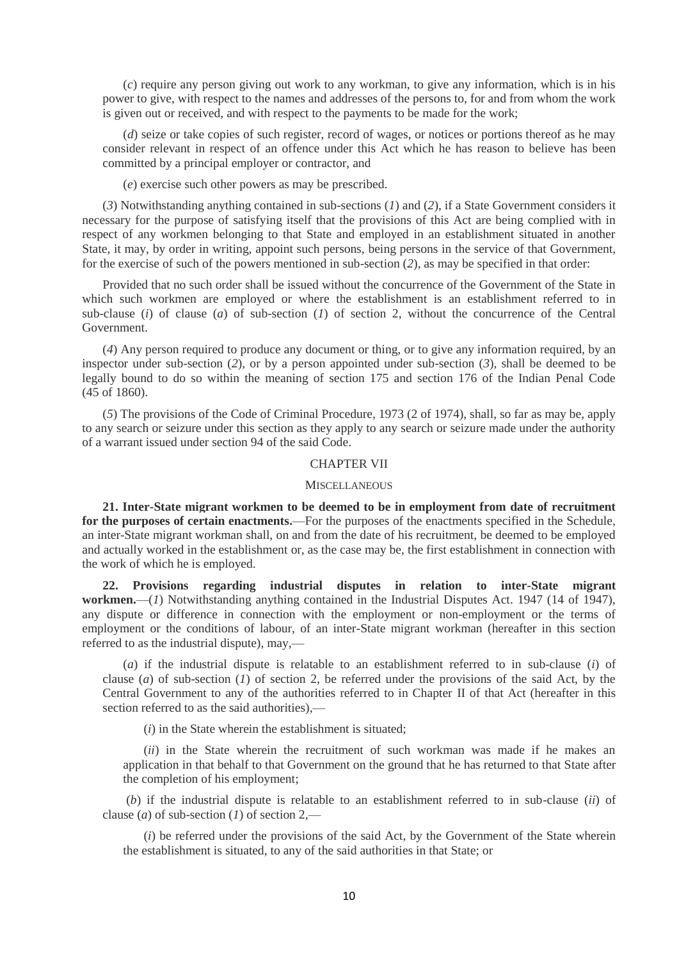(*c*) require any person giving out work to any workman, to give any information, which is in his power to give, with respect to the names and addresses of the persons to, for and from whom the work is given out or received, and with respect to the payments to be made for the work;

(*d*) seize or take copies of such register, record of wages, or notices or portions thereof as he may consider relevant in respect of an offence under this Act which he has reason to believe has been committed by a principal employer or contractor, and

(*e*) exercise such other powers as may be prescribed.

(*3*) Notwithstanding anything contained in sub-sections (*1*) and (*2*), if a State Government considers it necessary for the purpose of satisfying itself that the provisions of this Act are being complied with in respect of any workmen belonging to that State and employed in an establishment situated in another State, it may, by order in writing, appoint such persons, being persons in the service of that Government, for the exercise of such of the powers mentioned in sub-section (*2*), as may be specified in that order:

Provided that no such order shall be issued without the concurrence of the Government of the State in which such workmen are employed or where the establishment is an establishment referred to in sub-clause (*i*) of clause (*a*) of sub-section (*1*) of section 2, without the concurrence of the Central Government.

(*4*) Any person required to produce any document or thing, or to give any information required, by an inspector under sub-section (*2*), or by a person appointed under sub-section (*3*), shall be deemed to be legally bound to do so within the meaning of section 175 and section 176 of the Indian Penal Code (45 of 1860).

(*5*) The provisions of the Code of Criminal Procedure, 1973 (2 of 1974), shall, so far as may be, apply to any search or seizure under this section as they apply to any search or seizure made under the authority of a warrant issued under section 94 of the said Code.

### CHAPTER VII

#### **MISCELLANEOUS**

**21. Inter-State migrant workmen to be deemed to be in employment from date of recruitment for the purposes of certain enactments.**—For the purposes of the enactments specified in the Schedule, an inter-State migrant workman shall, on and from the date of his recruitment, be deemed to be employed and actually worked in the establishment or, as the case may be, the first establishment in connection with the work of which he is employed.

**22. Provisions regarding industrial disputes in relation to inter-State migrant workmen.**—(*1*) Notwithstanding anything contained in the Industrial Disputes Act. 1947 (14 of 1947), any dispute or difference in connection with the employment or non-employment or the terms of employment or the conditions of labour, of an inter-State migrant workman (hereafter in this section referred to as the industrial dispute), may,—

(*a*) if the industrial dispute is relatable to an establishment referred to in sub-clause (*i*) of clause (*a*) of sub-section (*1*) of section 2, be referred under the provisions of the said Act, by the Central Government to any of the authorities referred to in Chapter II of that Act (hereafter in this section referred to as the said authorities),—

(*i*) in the State wherein the establishment is situated;

(*ii*) in the State wherein the recruitment of such workman was made if he makes an application in that behalf to that Government on the ground that he has returned to that State after the completion of his employment;

(*b*) if the industrial dispute is relatable to an establishment referred to in sub-clause (*ii*) of clause (*a*) of sub-section (*1*) of section 2,—

(*i*) be referred under the provisions of the said Act, by the Government of the State wherein the establishment is situated, to any of the said authorities in that State; or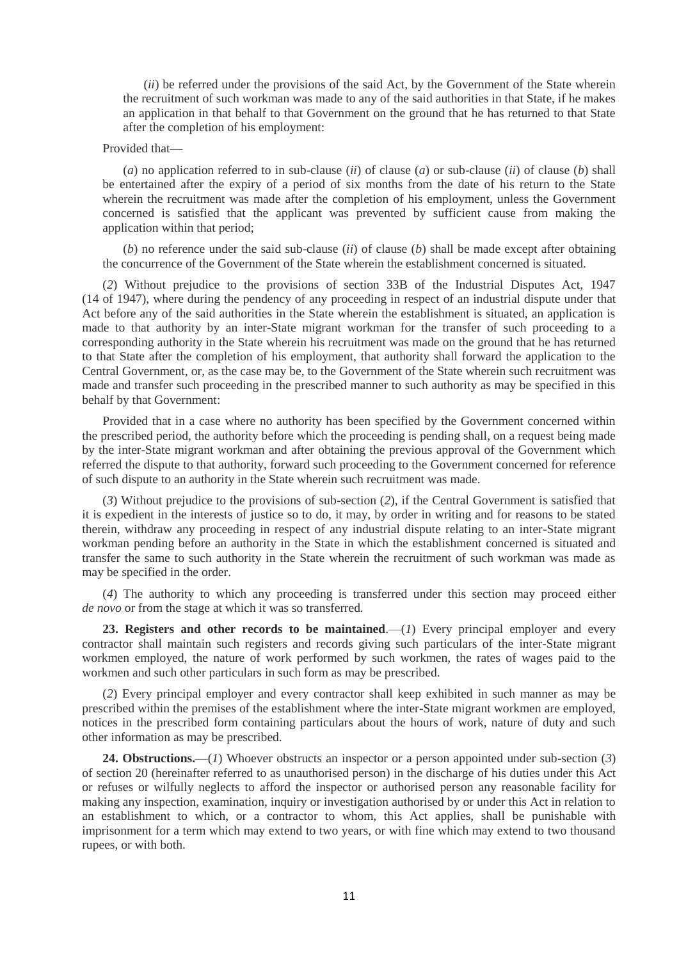(*ii*) be referred under the provisions of the said Act, by the Government of the State wherein the recruitment of such workman was made to any of the said authorities in that State, if he makes an application in that behalf to that Government on the ground that he has returned to that State after the completion of his employment:

## Provided that—

(*a*) no application referred to in sub-clause (*ii*) of clause (*a*) or sub-clause (*ii*) of clause (*b*) shall be entertained after the expiry of a period of six months from the date of his return to the State wherein the recruitment was made after the completion of his employment, unless the Government concerned is satisfied that the applicant was prevented by sufficient cause from making the application within that period;

(*b*) no reference under the said sub-clause (*ii*) of clause (*b*) shall be made except after obtaining the concurrence of the Government of the State wherein the establishment concerned is situated.

(*2*) Without prejudice to the provisions of section 33B of the Industrial Disputes Act, 1947 (14 of 1947), where during the pendency of any proceeding in respect of an industrial dispute under that Act before any of the said authorities in the State wherein the establishment is situated, an application is made to that authority by an inter-State migrant workman for the transfer of such proceeding to a corresponding authority in the State wherein his recruitment was made on the ground that he has returned to that State after the completion of his employment, that authority shall forward the application to the Central Government, or, as the case may be, to the Government of the State wherein such recruitment was made and transfer such proceeding in the prescribed manner to such authority as may be specified in this behalf by that Government:

Provided that in a case where no authority has been specified by the Government concerned within the prescribed period, the authority before which the proceeding is pending shall, on a request being made by the inter-State migrant workman and after obtaining the previous approval of the Government which referred the dispute to that authority, forward such proceeding to the Government concerned for reference of such dispute to an authority in the State wherein such recruitment was made.

(*3*) Without prejudice to the provisions of sub-section (*2*), if the Central Government is satisfied that it is expedient in the interests of justice so to do, it may, by order in writing and for reasons to be stated therein, withdraw any proceeding in respect of any industrial dispute relating to an inter-State migrant workman pending before an authority in the State in which the establishment concerned is situated and transfer the same to such authority in the State wherein the recruitment of such workman was made as may be specified in the order.

(*4*) The authority to which any proceeding is transferred under this section may proceed either *de novo* or from the stage at which it was so transferred.

23. Registers and other records to be maintained.—(*1*) Every principal employer and every contractor shall maintain such registers and records giving such particulars of the inter-State migrant workmen employed, the nature of work performed by such workmen, the rates of wages paid to the workmen and such other particulars in such form as may be prescribed.

(*2*) Every principal employer and every contractor shall keep exhibited in such manner as may be prescribed within the premises of the establishment where the inter-State migrant workmen are employed, notices in the prescribed form containing particulars about the hours of work, nature of duty and such other information as may be prescribed.

**24. Obstructions.**—(*1*) Whoever obstructs an inspector or a person appointed under sub-section (*3*) of section 20 (hereinafter referred to as unauthorised person) in the discharge of his duties under this Act or refuses or wilfully neglects to afford the inspector or authorised person any reasonable facility for making any inspection, examination, inquiry or investigation authorised by or under this Act in relation to an establishment to which, or a contractor to whom, this Act applies, shall be punishable with imprisonment for a term which may extend to two years, or with fine which may extend to two thousand rupees, or with both.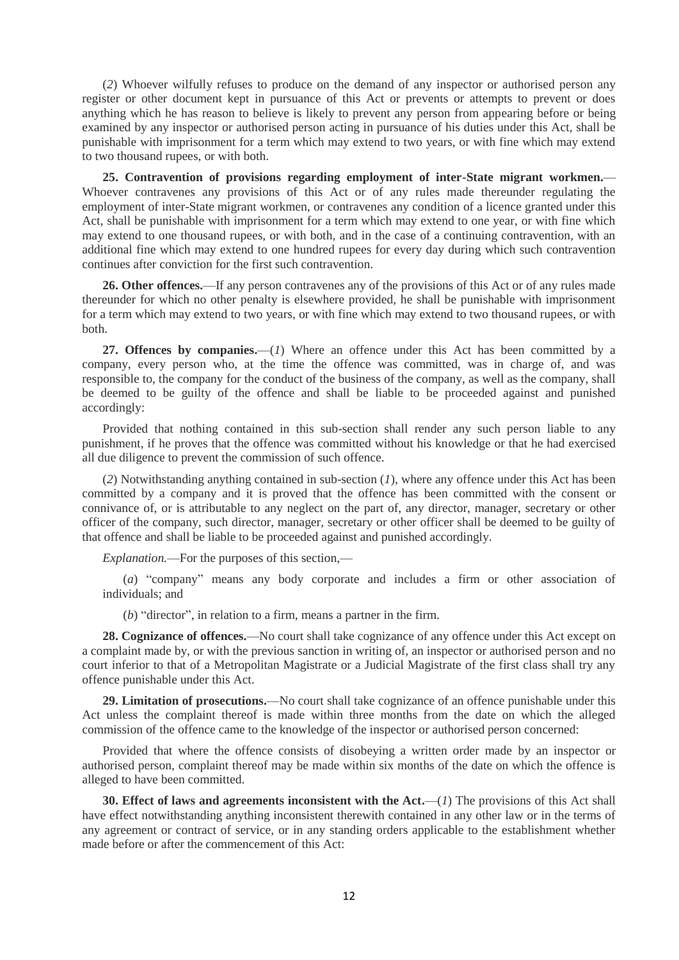(*2*) Whoever wilfully refuses to produce on the demand of any inspector or authorised person any register or other document kept in pursuance of this Act or prevents or attempts to prevent or does anything which he has reason to believe is likely to prevent any person from appearing before or being examined by any inspector or authorised person acting in pursuance of his duties under this Act, shall be punishable with imprisonment for a term which may extend to two years, or with fine which may extend to two thousand rupees, or with both.

**25. Contravention of provisions regarding employment of inter-State migrant workmen.**— Whoever contravenes any provisions of this Act or of any rules made thereunder regulating the employment of inter-State migrant workmen, or contravenes any condition of a licence granted under this Act, shall be punishable with imprisonment for a term which may extend to one year, or with fine which may extend to one thousand rupees, or with both, and in the case of a continuing contravention, with an additional fine which may extend to one hundred rupees for every day during which such contravention continues after conviction for the first such contravention.

**26. Other offences.**—If any person contravenes any of the provisions of this Act or of any rules made thereunder for which no other penalty is elsewhere provided, he shall be punishable with imprisonment for a term which may extend to two years, or with fine which may extend to two thousand rupees, or with both.

**27. Offences by companies.**—(*1*) Where an offence under this Act has been committed by a company, every person who, at the time the offence was committed, was in charge of, and was responsible to, the company for the conduct of the business of the company, as well as the company, shall be deemed to be guilty of the offence and shall be liable to be proceeded against and punished accordingly:

Provided that nothing contained in this sub-section shall render any such person liable to any punishment, if he proves that the offence was committed without his knowledge or that he had exercised all due diligence to prevent the commission of such offence.

(*2*) Notwithstanding anything contained in sub-section (*1*), where any offence under this Act has been committed by a company and it is proved that the offence has been committed with the consent or connivance of, or is attributable to any neglect on the part of, any director, manager, secretary or other officer of the company, such director, manager, secretary or other officer shall be deemed to be guilty of that offence and shall be liable to be proceeded against and punished accordingly.

*Explanation.*—For the purposes of this section,—

(*a*) "company" means any body corporate and includes a firm or other association of individuals; and

(*b*) "director", in relation to a firm, means a partner in the firm.

**28. Cognizance of offences.**—No court shall take cognizance of any offence under this Act except on a complaint made by, or with the previous sanction in writing of, an inspector or authorised person and no court inferior to that of a Metropolitan Magistrate or a Judicial Magistrate of the first class shall try any offence punishable under this Act.

**29. Limitation of prosecutions.**—No court shall take cognizance of an offence punishable under this Act unless the complaint thereof is made within three months from the date on which the alleged commission of the offence came to the knowledge of the inspector or authorised person concerned:

Provided that where the offence consists of disobeying a written order made by an inspector or authorised person, complaint thereof may be made within six months of the date on which the offence is alleged to have been committed.

**30. Effect of laws and agreements inconsistent with the Act.—(***1***) The provisions of this Act shall** have effect notwithstanding anything inconsistent therewith contained in any other law or in the terms of any agreement or contract of service, or in any standing orders applicable to the establishment whether made before or after the commencement of this Act: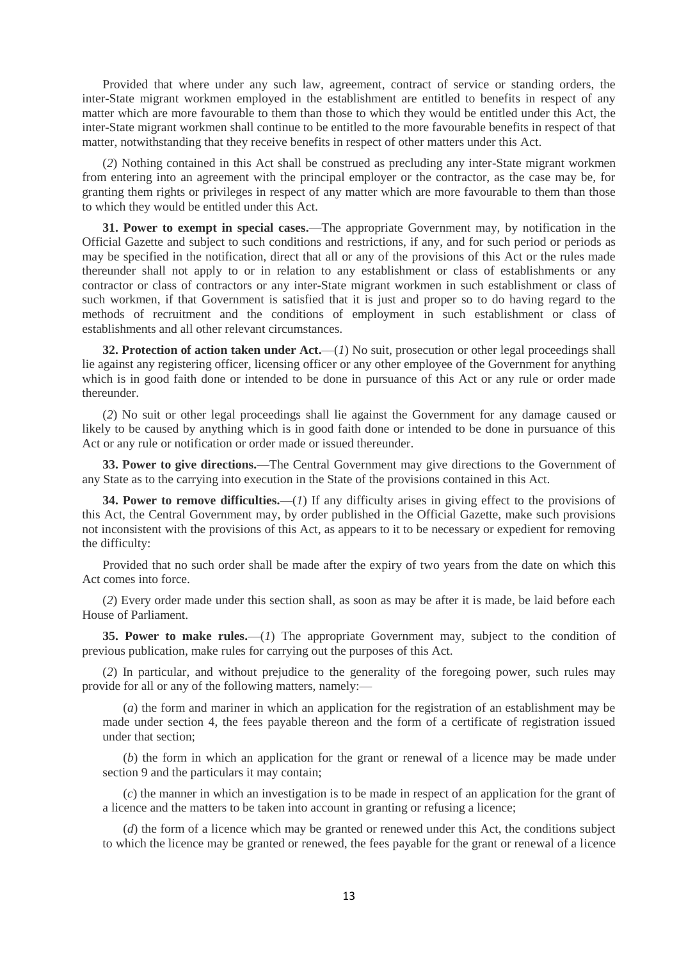Provided that where under any such law, agreement, contract of service or standing orders, the inter-State migrant workmen employed in the establishment are entitled to benefits in respect of any matter which are more favourable to them than those to which they would be entitled under this Act, the inter-State migrant workmen shall continue to be entitled to the more favourable benefits in respect of that matter, notwithstanding that they receive benefits in respect of other matters under this Act.

(*2*) Nothing contained in this Act shall be construed as precluding any inter-State migrant workmen from entering into an agreement with the principal employer or the contractor, as the case may be, for granting them rights or privileges in respect of any matter which are more favourable to them than those to which they would be entitled under this Act.

**31. Power to exempt in special cases.**—The appropriate Government may, by notification in the Official Gazette and subject to such conditions and restrictions, if any, and for such period or periods as may be specified in the notification, direct that all or any of the provisions of this Act or the rules made thereunder shall not apply to or in relation to any establishment or class of establishments or any contractor or class of contractors or any inter-State migrant workmen in such establishment or class of such workmen, if that Government is satisfied that it is just and proper so to do having regard to the methods of recruitment and the conditions of employment in such establishment or class of establishments and all other relevant circumstances.

**32. Protection of action taken under Act.**—(*1*) No suit, prosecution or other legal proceedings shall lie against any registering officer, licensing officer or any other employee of the Government for anything which is in good faith done or intended to be done in pursuance of this Act or any rule or order made thereunder.

(*2*) No suit or other legal proceedings shall lie against the Government for any damage caused or likely to be caused by anything which is in good faith done or intended to be done in pursuance of this Act or any rule or notification or order made or issued thereunder.

**33. Power to give directions.**—The Central Government may give directions to the Government of any State as to the carrying into execution in the State of the provisions contained in this Act.

**34. Power to remove difficulties.**—(*1*) If any difficulty arises in giving effect to the provisions of this Act, the Central Government may, by order published in the Official Gazette, make such provisions not inconsistent with the provisions of this Act, as appears to it to be necessary or expedient for removing the difficulty:

Provided that no such order shall be made after the expiry of two years from the date on which this Act comes into force.

(*2*) Every order made under this section shall, as soon as may be after it is made, be laid before each House of Parliament.

**35. Power to make rules.**—(*1*) The appropriate Government may, subject to the condition of previous publication, make rules for carrying out the purposes of this Act.

(*2*) In particular, and without prejudice to the generality of the foregoing power, such rules may provide for all or any of the following matters, namely:—

(*a*) the form and mariner in which an application for the registration of an establishment may be made under section 4, the fees payable thereon and the form of a certificate of registration issued under that section;

(*b*) the form in which an application for the grant or renewal of a licence may be made under section 9 and the particulars it may contain;

(*c*) the manner in which an investigation is to be made in respect of an application for the grant of a licence and the matters to be taken into account in granting or refusing a licence;

(*d*) the form of a licence which may be granted or renewed under this Act, the conditions subject to which the licence may be granted or renewed, the fees payable for the grant or renewal of a licence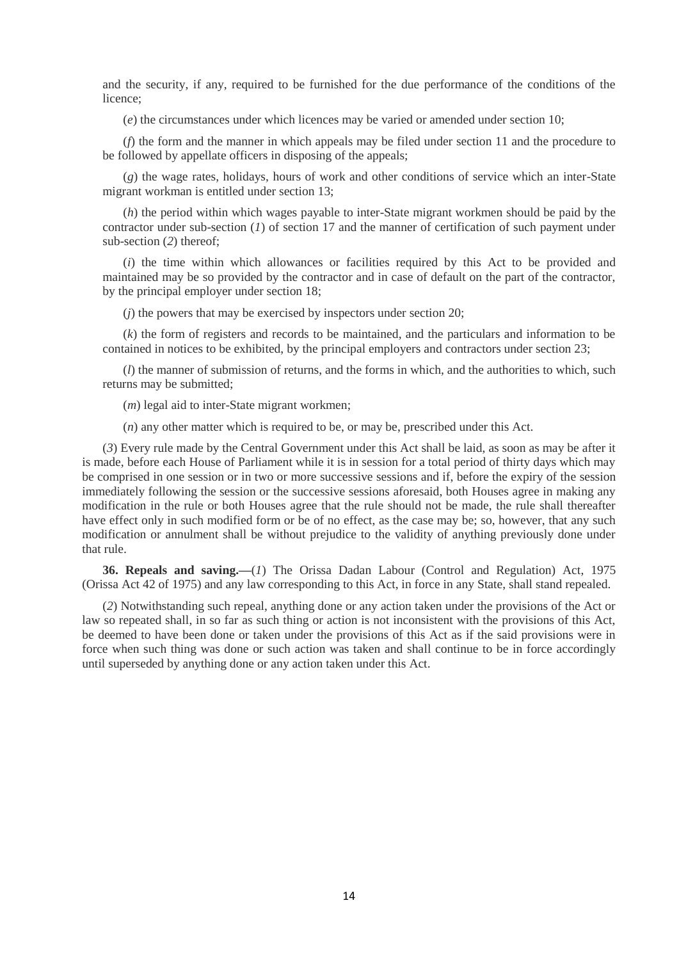and the security, if any, required to be furnished for the due performance of the conditions of the licence;

(*e*) the circumstances under which licences may be varied or amended under section 10;

(*f*) the form and the manner in which appeals may be filed under section 11 and the procedure to be followed by appellate officers in disposing of the appeals;

(*g*) the wage rates, holidays, hours of work and other conditions of service which an inter-State migrant workman is entitled under section 13;

(*h*) the period within which wages payable to inter-State migrant workmen should be paid by the contractor under sub-section (*1*) of section 17 and the manner of certification of such payment under sub-section (*2*) thereof;

(*i*) the time within which allowances or facilities required by this Act to be provided and maintained may be so provided by the contractor and in case of default on the part of the contractor, by the principal employer under section 18;

(*j*) the powers that may be exercised by inspectors under section 20;

(*k*) the form of registers and records to be maintained, and the particulars and information to be contained in notices to be exhibited, by the principal employers and contractors under section 23;

(*l*) the manner of submission of returns, and the forms in which, and the authorities to which, such returns may be submitted;

(*m*) legal aid to inter-State migrant workmen;

(*n*) any other matter which is required to be, or may be, prescribed under this Act.

(*3*) Every rule made by the Central Government under this Act shall be laid, as soon as may be after it is made, before each House of Parliament while it is in session for a total period of thirty days which may be comprised in one session or in two or more successive sessions and if, before the expiry of the session immediately following the session or the successive sessions aforesaid, both Houses agree in making any modification in the rule or both Houses agree that the rule should not be made, the rule shall thereafter have effect only in such modified form or be of no effect, as the case may be; so, however, that any such modification or annulment shall be without prejudice to the validity of anything previously done under that rule.

**36. Repeals and saving.—**(*1*) The Orissa Dadan Labour (Control and Regulation) Act, 1975 (Orissa Act 42 of 1975) and any law corresponding to this Act, in force in any State, shall stand repealed.

(*2*) Notwithstanding such repeal, anything done or any action taken under the provisions of the Act or law so repeated shall, in so far as such thing or action is not inconsistent with the provisions of this Act, be deemed to have been done or taken under the provisions of this Act as if the said provisions were in force when such thing was done or such action was taken and shall continue to be in force accordingly until superseded by anything done or any action taken under this Act.